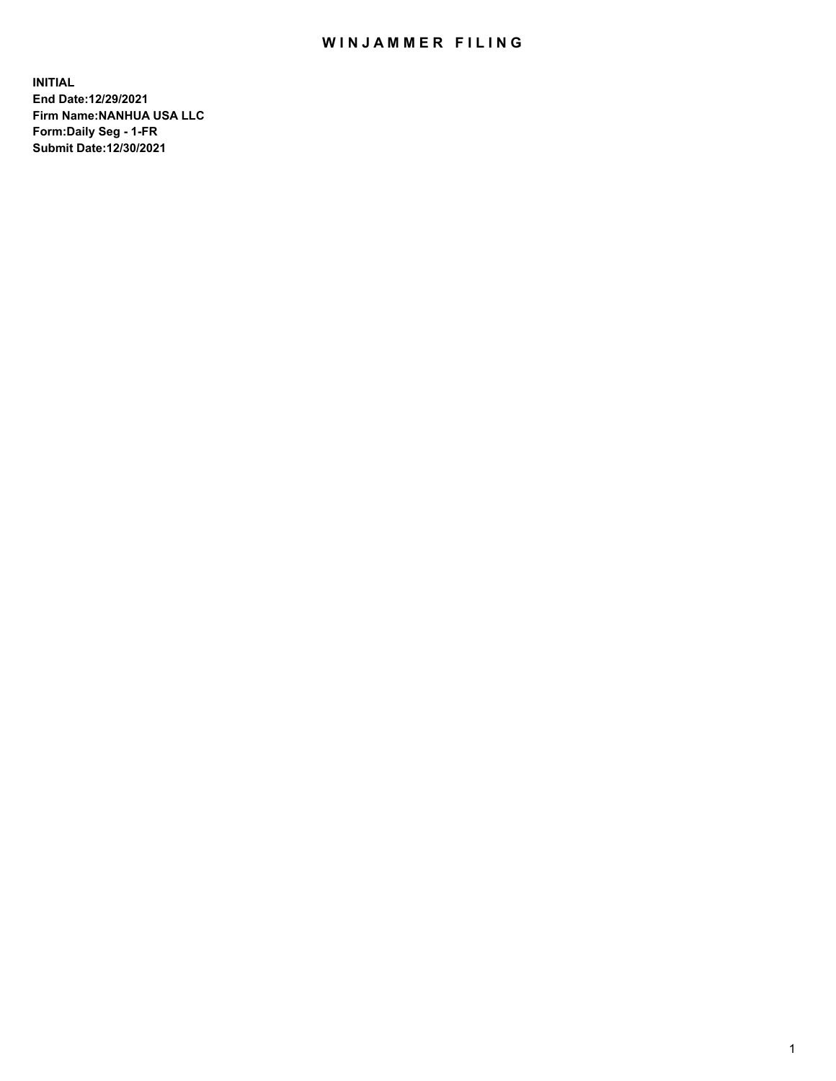## WIN JAMMER FILING

**INITIAL End Date:12/29/2021 Firm Name:NANHUA USA LLC Form:Daily Seg - 1-FR Submit Date:12/30/2021**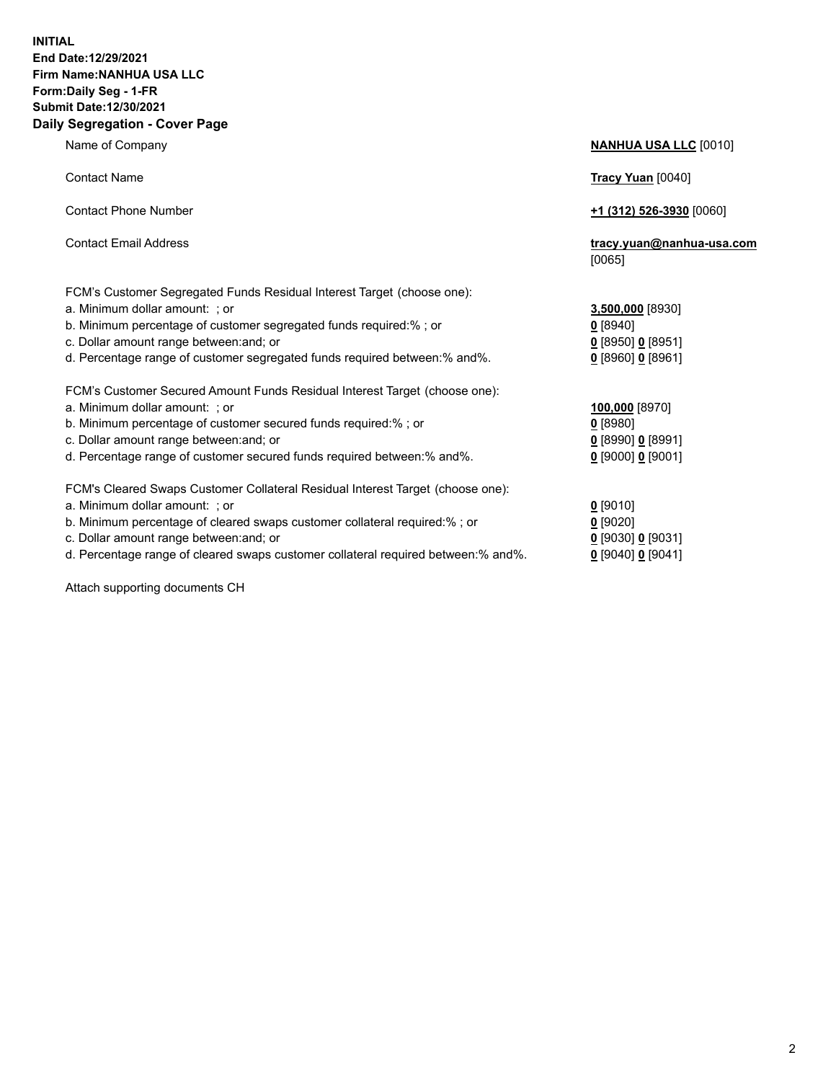## **INITIAL End Date:12/29/2021 Firm Name:NANHUA USA LLC Form:Daily Seg - 1-FR Submit Date:12/30/2021 Daily Segregation - Cover Page**

Name of Company **NANHUA USA LLC** [0010] Contact Name **Tracy Yuan** [0040] Contact Phone Number **+1 (312) 526-3930** [0060] Contact Email Address **tracy.yuan@nanhua-usa.com** [0065] FCM's Customer Segregated Funds Residual Interest Target (choose one): a. Minimum dollar amount: ; or **3,500,000** [8930] b. Minimum percentage of customer segregated funds required:% ; or **0** [8940] c. Dollar amount range between:and; or **0** [8950] **0** [8951] d. Percentage range of customer segregated funds required between:% and%. **0** [8960] **0** [8961] FCM's Customer Secured Amount Funds Residual Interest Target (choose one): a. Minimum dollar amount: ; or **100,000** [8970] b. Minimum percentage of customer secured funds required:% ; or **0** [8980] c. Dollar amount range between:and; or **0** [8990] **0** [8991] d. Percentage range of customer secured funds required between:% and%. **0** [9000] **0** [9001] FCM's Cleared Swaps Customer Collateral Residual Interest Target (choose one): a. Minimum dollar amount: ; or **0** [9010] b. Minimum percentage of cleared swaps customer collateral required:% ; or **0** [9020] c. Dollar amount range between:and; or **0** [9030] **0** [9031]

d. Percentage range of cleared swaps customer collateral required between:% and%. **0** [9040] **0** [9041]

Attach supporting documents CH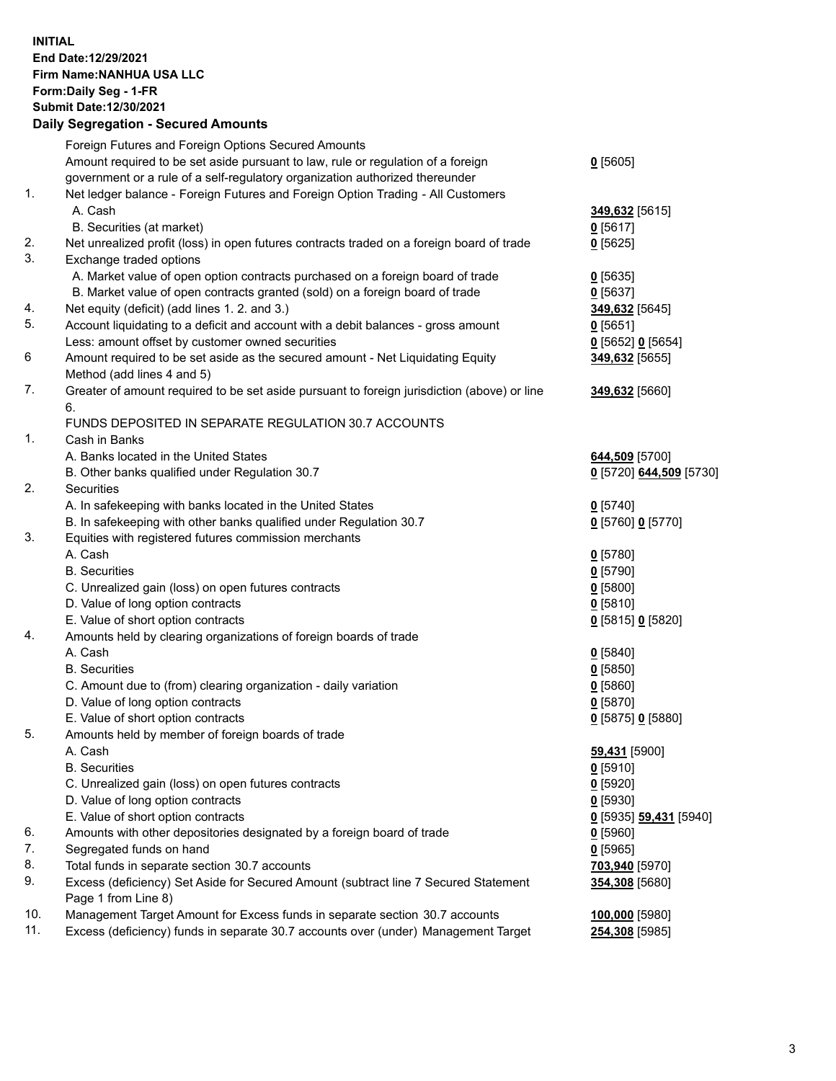## **INITIAL End Date:12/29/2021 Firm Name:NANHUA USA LLC Form:Daily Seg - 1-FR Submit Date:12/30/2021 Daily Segregation - Secured Amounts**

|     | Foreign Futures and Foreign Options Secured Amounts                                                        |                                      |
|-----|------------------------------------------------------------------------------------------------------------|--------------------------------------|
|     | Amount required to be set aside pursuant to law, rule or regulation of a foreign                           | $0$ [5605]                           |
|     | government or a rule of a self-regulatory organization authorized thereunder                               |                                      |
| 1.  | Net ledger balance - Foreign Futures and Foreign Option Trading - All Customers                            |                                      |
|     | A. Cash                                                                                                    | 349,632 [5615]                       |
|     | B. Securities (at market)                                                                                  | $0$ [5617]                           |
| 2.  | Net unrealized profit (loss) in open futures contracts traded on a foreign board of trade                  | $0$ [5625]                           |
| 3.  | Exchange traded options                                                                                    |                                      |
|     | A. Market value of open option contracts purchased on a foreign board of trade                             | $0$ [5635]                           |
|     | B. Market value of open contracts granted (sold) on a foreign board of trade                               | $0$ [5637]                           |
| 4.  | Net equity (deficit) (add lines 1. 2. and 3.)                                                              | 349,632 [5645]                       |
| 5.  | Account liquidating to a deficit and account with a debit balances - gross amount                          | $0$ [5651]                           |
|     | Less: amount offset by customer owned securities                                                           | $0$ [5652] $0$ [5654]                |
| 6   | Amount required to be set aside as the secured amount - Net Liquidating Equity                             | 349,632 [5655]                       |
|     | Method (add lines 4 and 5)                                                                                 |                                      |
| 7.  | Greater of amount required to be set aside pursuant to foreign jurisdiction (above) or line                | 349,632 [5660]                       |
|     | 6.                                                                                                         |                                      |
|     | FUNDS DEPOSITED IN SEPARATE REGULATION 30.7 ACCOUNTS                                                       |                                      |
| 1.  | Cash in Banks                                                                                              |                                      |
|     | A. Banks located in the United States                                                                      | 644,509 [5700]                       |
|     | B. Other banks qualified under Regulation 30.7                                                             | 0 [5720] 644,509 [5730]              |
| 2.  | <b>Securities</b>                                                                                          |                                      |
|     | A. In safekeeping with banks located in the United States                                                  | $0$ [5740]                           |
|     | B. In safekeeping with other banks qualified under Regulation 30.7                                         | 0 [5760] 0 [5770]                    |
| 3.  | Equities with registered futures commission merchants                                                      |                                      |
|     | A. Cash                                                                                                    | $0$ [5780]                           |
|     | <b>B.</b> Securities                                                                                       | $0$ [5790]                           |
|     | C. Unrealized gain (loss) on open futures contracts                                                        | $0$ [5800]                           |
|     | D. Value of long option contracts                                                                          | $0$ [5810]                           |
|     | E. Value of short option contracts                                                                         | 0 [5815] 0 [5820]                    |
| 4.  | Amounts held by clearing organizations of foreign boards of trade                                          |                                      |
|     | A. Cash                                                                                                    | $0$ [5840]                           |
|     | <b>B.</b> Securities                                                                                       | $0$ [5850]                           |
|     | C. Amount due to (from) clearing organization - daily variation                                            | $0$ [5860]                           |
|     | D. Value of long option contracts                                                                          | $0$ [5870]                           |
|     | E. Value of short option contracts                                                                         | 0 [5875] 0 [5880]                    |
| 5.  | Amounts held by member of foreign boards of trade                                                          |                                      |
|     | A. Cash                                                                                                    | 59,431 [5900]                        |
|     | <b>B.</b> Securities                                                                                       | $0$ [5910]                           |
|     | C. Unrealized gain (loss) on open futures contracts                                                        | $0$ [5920]                           |
|     | D. Value of long option contracts                                                                          | $0$ [5930]                           |
|     | E. Value of short option contracts                                                                         | <u>0</u> [5935] <b>59,431</b> [5940] |
| 6.  | Amounts with other depositories designated by a foreign board of trade                                     | $0$ [5960]                           |
| 7.  | Segregated funds on hand                                                                                   | $0$ [5965]                           |
| 8.  | Total funds in separate section 30.7 accounts                                                              | 703,940 [5970]                       |
| 9.  | Excess (deficiency) Set Aside for Secured Amount (subtract line 7 Secured Statement<br>Page 1 from Line 8) | 354,308 [5680]                       |
| 10. | Management Target Amount for Excess funds in separate section 30.7 accounts                                | 100,000 [5980]                       |
| 11. | Excess (deficiency) funds in separate 30.7 accounts over (under) Management Target                         | 254,308 [5985]                       |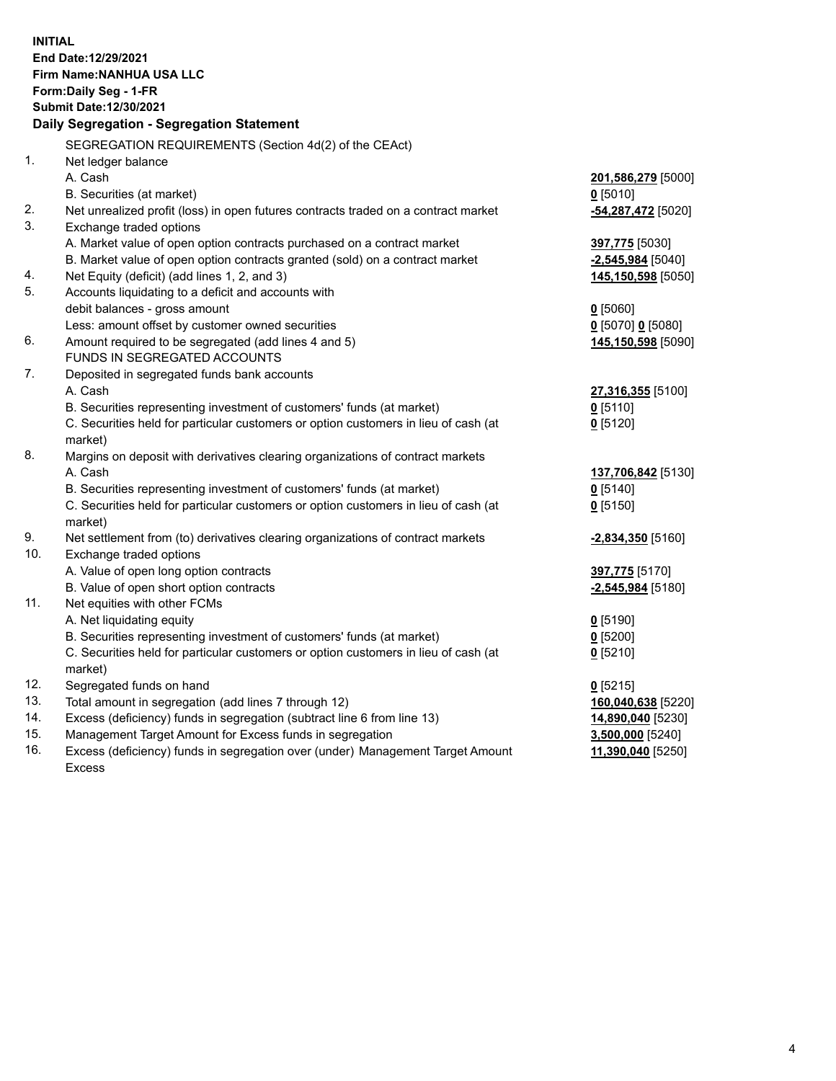**INITIAL End Date:12/29/2021 Firm Name:NANHUA USA LLC Form:Daily Seg - 1-FR Submit Date:12/30/2021 Daily Segregation - Segregation Statement** SEGREGATION REQUIREMENTS (Section 4d(2) of the CEAct) 1. Net ledger balance A. Cash **201,586,279** [5000] B. Securities (at market) **0** [5010] 2. Net unrealized profit (loss) in open futures contracts traded on a contract market **-54,287,472** [5020] 3. Exchange traded options A. Market value of open option contracts purchased on a contract market **397,775** [5030] B. Market value of open option contracts granted (sold) on a contract market **-2,545,984** [5040] 4. Net Equity (deficit) (add lines 1, 2, and 3) **145,150,598** [5050] 5. Accounts liquidating to a deficit and accounts with debit balances - gross amount **0** [5060] Less: amount offset by customer owned securities **0** [5070] **0** [5080] 6. Amount required to be segregated (add lines 4 and 5) **145,150,598** [5090] FUNDS IN SEGREGATED ACCOUNTS 7. Deposited in segregated funds bank accounts A. Cash **27,316,355** [5100] B. Securities representing investment of customers' funds (at market) **0** [5110] C. Securities held for particular customers or option customers in lieu of cash (at market) **0** [5120] 8. Margins on deposit with derivatives clearing organizations of contract markets A. Cash **137,706,842** [5130] B. Securities representing investment of customers' funds (at market) **0** [5140] C. Securities held for particular customers or option customers in lieu of cash (at market) **0** [5150] 9. Net settlement from (to) derivatives clearing organizations of contract markets **-2,834,350** [5160] 10. Exchange traded options A. Value of open long option contracts **397,775** [5170] B. Value of open short option contracts **-2,545,984** [5180] 11. Net equities with other FCMs A. Net liquidating equity **0** [5190] B. Securities representing investment of customers' funds (at market) **0** [5200] C. Securities held for particular customers or option customers in lieu of cash (at market) **0** [5210] 12. Segregated funds on hand **0** [5215] 13. Total amount in segregation (add lines 7 through 12) **160,040,638** [5220] 14. Excess (deficiency) funds in segregation (subtract line 6 from line 13) **14,890,040** [5230] 15. Management Target Amount for Excess funds in segregation **3,500,000** [5240] 16. Excess (deficiency) funds in segregation over (under) Management Target Amount Excess **11,390,040** [5250]